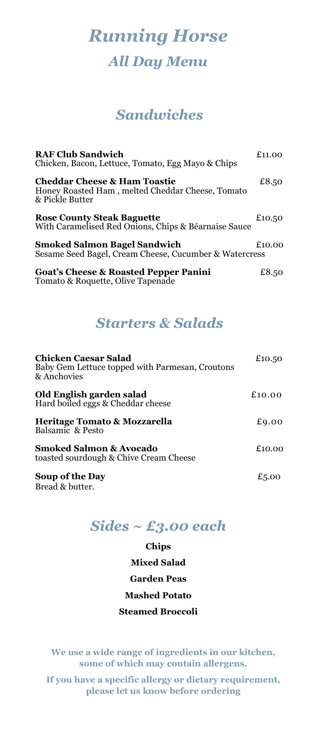# *Running Horse All Day Menu*

### *Sandwiches*

| <b>RAF Club Sandwich</b><br>Chicken, Bacon, Lettuce, Tomato, Egg Mayo & Chips                                  | £11.00 |
|----------------------------------------------------------------------------------------------------------------|--------|
| <b>Cheddar Cheese &amp; Ham Toastie</b><br>Honey Roasted Ham, melted Cheddar Cheese, Tomato<br>& Pickle Butter | £8.50  |
| <b>Rose County Steak Baguette</b><br>With Caramelised Red Onions, Chips & Béarnaise Sauce                      | £10.50 |
| <b>Smoked Salmon Bagel Sandwich</b><br>Sesame Seed Bagel, Cream Cheese, Cucumber & Watercress                  | £10.00 |
| <b>Goat's Cheese &amp; Roasted Pepper Panini</b><br>Tomato & Roquette, Olive Tapenade                          | £8.50  |

## *Starters & Salads*

| Chicken Caesar Salad<br>Baby Gem Lettuce topped with Parmesan, Croutons<br>& Anchovies | £10.50 |
|----------------------------------------------------------------------------------------|--------|
| Old English garden salad<br>Hard boiled eggs & Cheddar cheese                          | £10.00 |
| Heritage Tomato & Mozzarella<br>Balsamic & Pesto                                       | £9.00  |
| <b>Smoked Salmon &amp; Avocado</b><br>toasted sourdough & Chive Cream Cheese           | £10.00 |
| Soup of the Day<br>Bread & butter.                                                     | £5.00  |

## *Sides ~ £3.00 each*

**Chips Mixed Salad Garden Peas Mashed Potato Steamed Broccoli**

**We use a wide range of ingredients in our kitchen, some of which may contain allergens.**

**If you have a specific allergy or dietary requirement, please let us know before ordering**